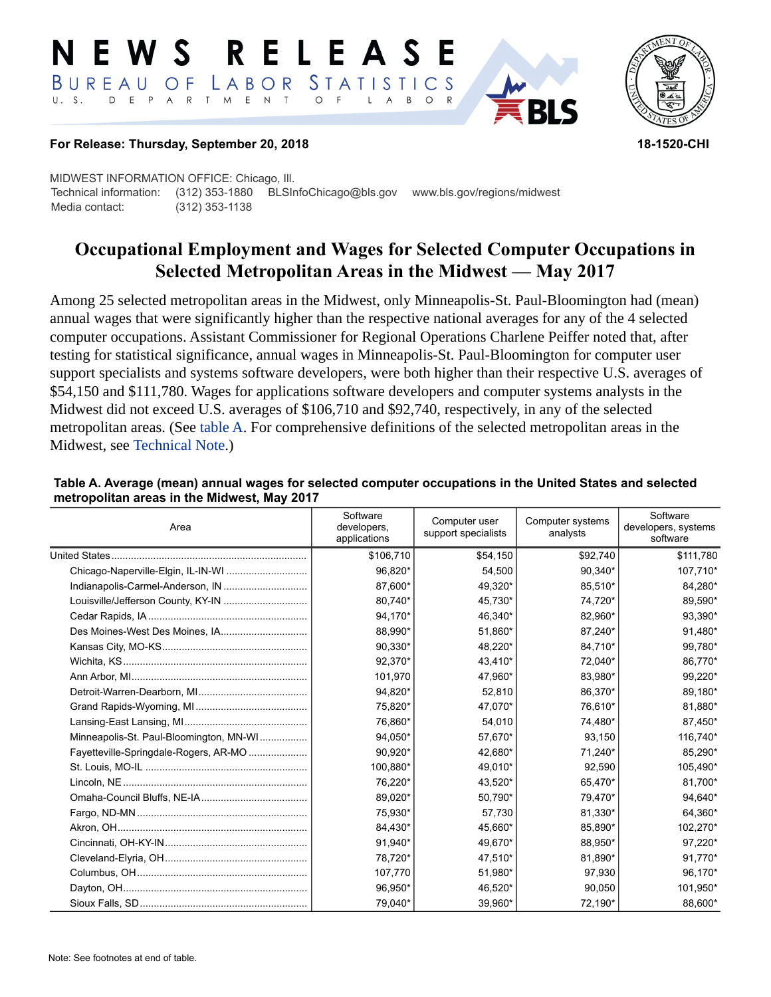#### RELEASE E W S STATISTICS BUREAU OF LABOR D E P A R T M E N T  $\circ$  $U. S.$ B  $\circ$  $\mathsf{L}$  $\overline{A}$



#### **For Release: Thursday, September 20, 2018 18-1520-CHI**

MIDWEST INFORMATION OFFICE: Chicago, Ill. Technical information: (312) 353-1880 BLSInfoChicago@bls.gov www.bls.gov/regions/midwest Media contact: (312) 353-1138

# **Occupational Employment and Wages for Selected Computer Occupations in Selected Metropolitan Areas in the Midwest — May 2017**

Among 25 selected metropolitan areas in the Midwest, only Minneapolis-St. Paul-Bloomington had (mean) annual wages that were significantly higher than the respective national averages for any of the 4 selected computer occupations. Assistant Commissioner for Regional Operations Charlene Peiffer noted that, after testing for statistical significance, annual wages in Minneapolis-St. Paul-Bloomington for computer user support specialists and systems software developers, were both higher than their respective U.S. averages of \$54,150 and \$111,780. Wages for applications software developers and computer systems analysts in the Midwest did not exceed U.S. averages of \$106,710 and \$92,740, respectively, in any of the selected metropolitan areas. (See [table A](#page-0-0). For comprehensive definitions of the selected metropolitan areas in the Midwest, see [Technical Note.](#page-3-0))

| Area                                    | Software<br>developers,<br>applications | Computer user<br>support specialists | Computer systems<br>analysts | Software<br>developers, systems<br>software |
|-----------------------------------------|-----------------------------------------|--------------------------------------|------------------------------|---------------------------------------------|
|                                         | \$106,710                               | \$54,150                             | \$92,740                     | \$111,780                                   |
|                                         | 96,820*                                 | 54,500                               | 90,340*                      | 107,710*                                    |
|                                         | 87.600*                                 | 49,320*                              | 85,510*                      | 84,280*                                     |
|                                         | 80,740*                                 | 45,730*                              | 74,720*                      | 89,590*                                     |
|                                         | 94,170*                                 | 46,340*                              | 82,960*                      | 93,390*                                     |
|                                         | 88,990*                                 | 51,860*                              | 87,240*                      | 91,480*                                     |
|                                         | 90,330*                                 | 48,220*                              | 84,710*                      | 99,780*                                     |
|                                         | 92,370*                                 | 43,410*                              | 72,040*                      | 86,770*                                     |
|                                         | 101.970                                 | 47,960*                              | 83,980*                      | 99,220*                                     |
|                                         | 94,820*                                 | 52,810                               | 86,370*                      | 89,180*                                     |
|                                         | 75,820*                                 | 47,070*                              | 76,610*                      | 81,880*                                     |
|                                         | 76,860*                                 | 54,010                               | 74,480*                      | 87,450*                                     |
| Minneapolis-St. Paul-Bloomington, MN-WI | 94,050*                                 | 57,670*                              | 93,150                       | 116,740*                                    |
| Fayetteville-Springdale-Rogers, AR-MO   | 90,920*                                 | 42,680*                              | 71,240*                      | 85,290*                                     |
|                                         | 100,880*                                | 49,010*                              | 92,590                       | 105,490*                                    |
|                                         | 76,220*                                 | 43,520*                              | 65,470*                      | 81,700*                                     |
|                                         | 89,020*                                 | 50,790*                              | 79,470*                      | 94,640*                                     |
|                                         | 75,930*                                 | 57,730                               | 81,330*                      | 64,360*                                     |
|                                         | 84,430*                                 | 45,660*                              | 85,890*                      | 102,270*                                    |
|                                         | 91,940*                                 | 49,670*                              | 88,950*                      | 97,220*                                     |
|                                         | 78,720*                                 | 47,510*                              | 81,890*                      | 91,770*                                     |
|                                         | 107,770                                 | 51,980*                              | 97,930                       | 96,170*                                     |
|                                         | 96,950*                                 | 46,520*                              | 90,050                       | 101,950*                                    |
|                                         | 79,040*                                 | 39,960*                              | 72,190*                      | 88,600*                                     |

#### <span id="page-0-0"></span>**Table A. Average (mean) annual wages for selected computer occupations in the United States and selected metropolitan areas in the Midwest, May 2017**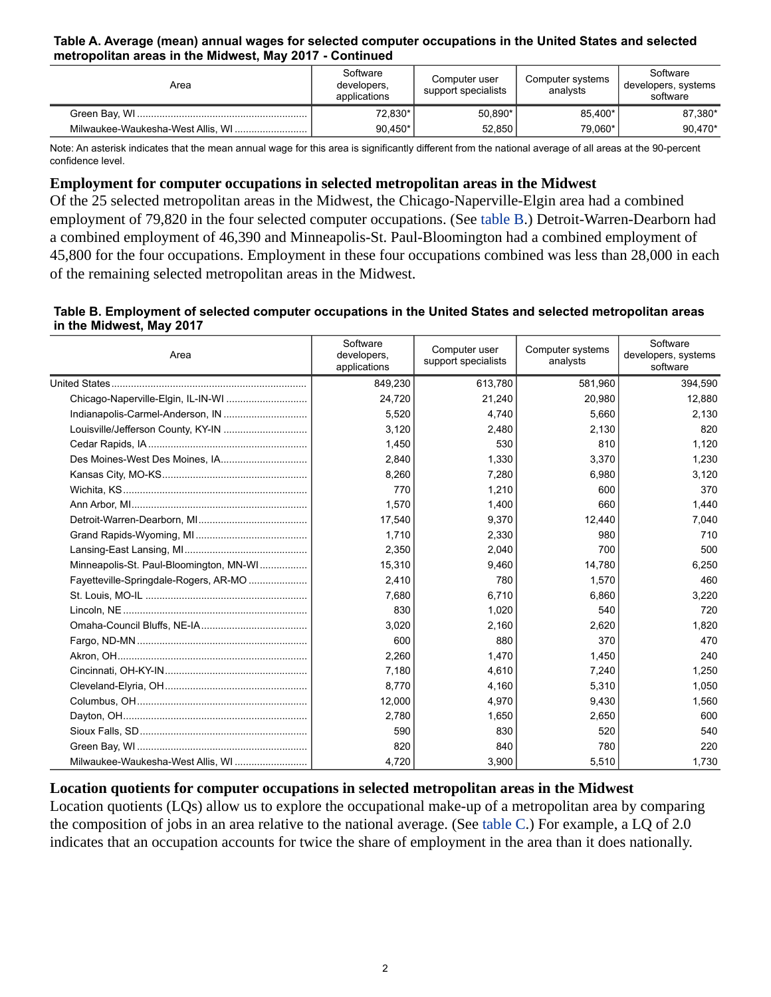#### **Table A. Average (mean) annual wages for selected computer occupations in the United States and selected metropolitan areas in the Midwest, May 2017 - Continued**

| Area | Software<br>developers.<br>applications | Computer user<br>support specialists | Computer systems<br>analysts | Software<br>developers, systems<br>software |
|------|-----------------------------------------|--------------------------------------|------------------------------|---------------------------------------------|
|      | 72,830*                                 | 50.890*                              | 85.400*                      | 87.380*                                     |
|      | 90.450*                                 | 52.850                               | 79.060*                      | 90.470*                                     |

Note: An asterisk indicates that the mean annual wage for this area is significantly different from the national average of all areas at the 90-percent confidence level.

### **Employment for computer occupations in selected metropolitan areas in the Midwest**

Of the 25 selected metropolitan areas in the Midwest, the Chicago-Naperville-Elgin area had a combined employment of 79,820 in the four selected computer occupations. (See [table B](#page-1-0).) Detroit-Warren-Dearborn had a combined employment of 46,390 and Minneapolis-St. Paul-Bloomington had a combined employment of 45,800 for the four occupations. Employment in these four occupations combined was less than 28,000 in each of the remaining selected metropolitan areas in the Midwest.

#### <span id="page-1-0"></span>**Table B. Employment of selected computer occupations in the United States and selected metropolitan areas in the Midwest, May 2017**

| Area                                    | Software<br>developers,<br>applications | Computer user<br>support specialists | Computer systems<br>analysts | Software<br>developers, systems<br>software |
|-----------------------------------------|-----------------------------------------|--------------------------------------|------------------------------|---------------------------------------------|
|                                         | 849,230                                 | 613,780                              | 581,960                      | 394,590                                     |
|                                         | 24,720                                  | 21,240                               | 20,980                       | 12,880                                      |
|                                         | 5,520                                   | 4.740                                | 5.660                        | 2,130                                       |
|                                         | 3,120                                   | 2,480                                | 2,130                        | 820                                         |
|                                         | 1,450                                   | 530                                  | 810                          | 1,120                                       |
|                                         | 2,840                                   | 1,330                                | 3,370                        | 1,230                                       |
|                                         | 8,260                                   | 7,280                                | 6,980                        | 3,120                                       |
|                                         | 770                                     | 1,210                                | 600                          | 370                                         |
|                                         | 1,570                                   | 1,400                                | 660                          | 1,440                                       |
|                                         | 17,540                                  | 9,370                                | 12,440                       | 7,040                                       |
|                                         | 1,710                                   | 2,330                                | 980                          | 710                                         |
|                                         | 2,350                                   | 2,040                                | 700                          | 500                                         |
| Minneapolis-St. Paul-Bloomington, MN-WI | 15,310                                  | 9,460                                | 14,780                       | 6,250                                       |
| Fayetteville-Springdale-Rogers, AR-MO   | 2,410                                   | 780                                  | 1,570                        | 460                                         |
|                                         | 7,680                                   | 6,710                                | 6,860                        | 3,220                                       |
|                                         | 830                                     | 1,020                                | 540                          | 720                                         |
|                                         | 3,020                                   | 2,160                                | 2,620                        | 1,820                                       |
|                                         | 600                                     | 880                                  | 370                          | 470                                         |
|                                         | 2,260                                   | 1,470                                | 1,450                        | 240                                         |
|                                         | 7,180                                   | 4,610                                | 7,240                        | 1,250                                       |
|                                         | 8.770                                   | 4.160                                | 5,310                        | 1,050                                       |
|                                         | 12,000                                  | 4,970                                | 9,430                        | 1,560                                       |
|                                         | 2,780                                   | 1,650                                | 2,650                        | 600                                         |
|                                         | 590                                     | 830                                  | 520                          | 540                                         |
|                                         | 820                                     | 840                                  | 780                          | 220                                         |
|                                         | 4,720                                   | 3,900                                | 5,510                        | 1,730                                       |

### **Location quotients for computer occupations in selected metropolitan areas in the Midwest**

Location quotients (LQs) allow us to explore the occupational make-up of a metropolitan area by comparing the composition of jobs in an area relative to the national average. (See [table C](#page-2-0).) For example, a LQ of 2.0 indicates that an occupation accounts for twice the share of employment in the area than it does nationally.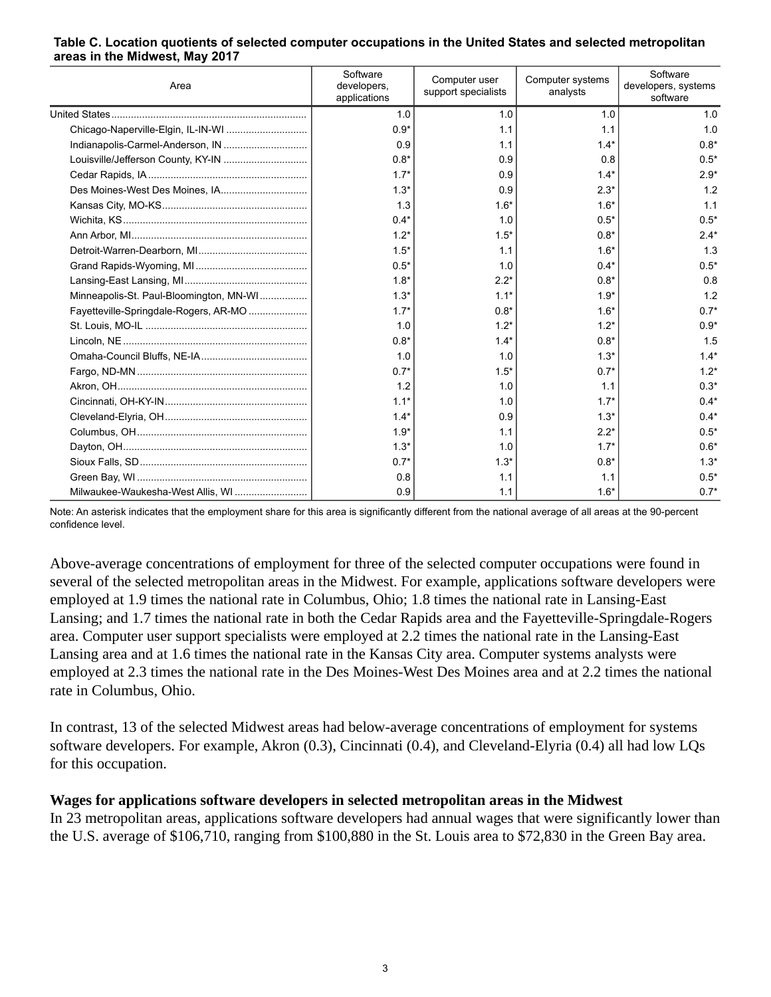#### <span id="page-2-0"></span>**Table C. Location quotients of selected computer occupations in the United States and selected metropolitan areas in the Midwest, May 2017**

| Area                                    | Software<br>developers,<br>applications | Computer user<br>support specialists | Computer systems<br>analysts | Software<br>developers, systems<br>software |
|-----------------------------------------|-----------------------------------------|--------------------------------------|------------------------------|---------------------------------------------|
|                                         | 1.0                                     | 1.0                                  | 1.0                          | 1.0                                         |
|                                         | $0.9*$                                  | 1.1                                  | 1.1                          | 1.0                                         |
| Indianapolis-Carmel-Anderson, IN        | 0.9                                     | 1.1                                  | $1.4*$                       | $0.8*$                                      |
| Louisville/Jefferson County, KY-IN      | $0.8*$                                  | 0.9                                  | 0.8                          | $0.5*$                                      |
|                                         | $1.7*$                                  | 0.9                                  | $1.4*$                       | $2.9*$                                      |
| Des Moines-West Des Moines, IA          | $1.3*$                                  | 0.9                                  | $2.3*$                       | 1.2                                         |
|                                         | 1.3                                     | $1.6*$                               | $1.6*$                       | 1.1                                         |
|                                         | $0.4*$                                  | 1.0                                  | $0.5*$                       | $0.5*$                                      |
|                                         | $1.2*$                                  | $1.5*$                               | $0.8*$                       | $2.4*$                                      |
|                                         | $1.5*$                                  | 1.1                                  | $1.6*$                       | 1.3                                         |
|                                         | $0.5*$                                  | 1.0                                  | $0.4*$                       | $0.5*$                                      |
|                                         | $1.8*$                                  | $2.2*$                               | $0.8*$                       | 0.8                                         |
| Minneapolis-St. Paul-Bloomington, MN-WI | $1.3*$                                  | $1.1*$                               | $1.9*$                       | 1.2                                         |
| Fayetteville-Springdale-Rogers, AR-MO   | $1.7*$                                  | $0.8*$                               | $1.6*$                       | $0.7*$                                      |
|                                         | 1.0                                     | $1.2*$                               | $1.2*$                       | $0.9*$                                      |
|                                         | $0.8*$                                  | $1.4*$                               | $0.8*$                       | 1.5                                         |
|                                         | 1.0                                     | 1.0                                  | $1.3*$                       | $1.4*$                                      |
|                                         | $0.7*$                                  | $1.5*$                               | $0.7*$                       | $1.2*$                                      |
|                                         | 1.2                                     | 1.0                                  | 1.1                          | $0.3*$                                      |
|                                         | $1.1*$                                  | 1.0                                  | $1.7*$                       | $0.4*$                                      |
|                                         | $1.4*$                                  | 0.9                                  | $1.3*$                       | $0.4*$                                      |
|                                         | $1.9*$                                  | 1.1                                  | $2.2*$                       | $0.5*$                                      |
|                                         | $1.3*$                                  | 1.0                                  | $1.7*$                       | $0.6*$                                      |
|                                         | $0.7*$                                  | $1.3*$                               | $0.8*$                       | $1.3*$                                      |
|                                         | 0.8                                     | 1.1                                  | 1.1                          | $0.5*$                                      |
| Milwaukee-Waukesha-West Allis, WI       | 0.9                                     | 1.1                                  | $1.6*$                       | $0.7*$                                      |

Note: An asterisk indicates that the employment share for this area is significantly different from the national average of all areas at the 90-percent confidence level.

Above-average concentrations of employment for three of the selected computer occupations were found in several of the selected metropolitan areas in the Midwest. For example, applications software developers were employed at 1.9 times the national rate in Columbus, Ohio; 1.8 times the national rate in Lansing-East Lansing; and 1.7 times the national rate in both the Cedar Rapids area and the Fayetteville-Springdale-Rogers area. Computer user support specialists were employed at 2.2 times the national rate in the Lansing-East Lansing area and at 1.6 times the national rate in the Kansas City area. Computer systems analysts were employed at 2.3 times the national rate in the Des Moines-West Des Moines area and at 2.2 times the national rate in Columbus, Ohio.

In contrast, 13 of the selected Midwest areas had below-average concentrations of employment for systems software developers. For example, Akron (0.3), Cincinnati (0.4), and Cleveland-Elyria (0.4) all had low LQs for this occupation.

### **Wages for applications software developers in selected metropolitan areas in the Midwest**

In 23 metropolitan areas, applications software developers had annual wages that were significantly lower than the U.S. average of \$106,710, ranging from \$100,880 in the St. Louis area to \$72,830 in the Green Bay area.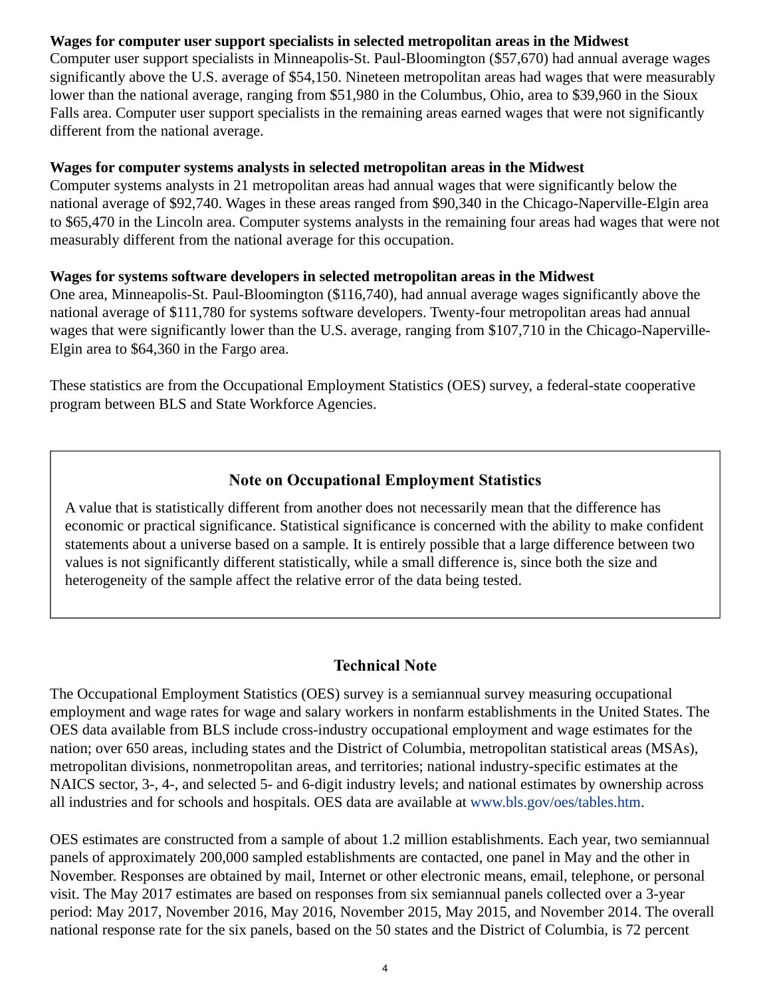### **Wages for computer user support specialists in selected metropolitan areas in the Midwest**

Computer user support specialists in Minneapolis-St. Paul-Bloomington (\$57,670) had annual average wages significantly above the U.S. average of \$54,150. Nineteen metropolitan areas had wages that were measurably lower than the national average, ranging from \$51,980 in the Columbus, Ohio, area to \$39,960 in the Sioux Falls area. Computer user support specialists in the remaining areas earned wages that were not significantly different from the national average.

### **Wages for computer systems analysts in selected metropolitan areas in the Midwest**

Computer systems analysts in 21 metropolitan areas had annual wages that were significantly below the national average of \$92,740. Wages in these areas ranged from \$90,340 in the Chicago-Naperville-Elgin area to \$65,470 in the Lincoln area. Computer systems analysts in the remaining four areas had wages that were not measurably different from the national average for this occupation.

### **Wages for systems software developers in selected metropolitan areas in the Midwest**

One area, Minneapolis-St. Paul-Bloomington (\$116,740), had annual average wages significantly above the national average of \$111,780 for systems software developers. Twenty-four metropolitan areas had annual wages that were significantly lower than the U.S. average, ranging from \$107,710 in the Chicago-Naperville-Elgin area to \$64,360 in the Fargo area.

These statistics are from the Occupational Employment Statistics (OES) survey, a federal-state cooperative program between BLS and State Workforce Agencies.

## **Note on Occupational Employment Statistics**

A value that is statistically different from another does not necessarily mean that the difference has economic or practical significance. Statistical significance is concerned with the ability to make confident statements about a universe based on a sample. It is entirely possible that a large difference between two values is not significantly different statistically, while a small difference is, since both the size and heterogeneity of the sample affect the relative error of the data being tested.

### **Technical Note**

<span id="page-3-0"></span>The Occupational Employment Statistics (OES) survey is a semiannual survey measuring occupational employment and wage rates for wage and salary workers in nonfarm establishments in the United States. The OES data available from BLS include cross-industry occupational employment and wage estimates for the nation; over 650 areas, including states and the District of Columbia, metropolitan statistical areas (MSAs), metropolitan divisions, nonmetropolitan areas, and territories; national industry-specific estimates at the NAICS sector, 3-, 4-, and selected 5- and 6-digit industry levels; and national estimates by ownership across all industries and for schools and hospitals. OES data are available at [www.bls.gov/oes/tables.htm](https://www.bls.gov/oes/tables.htm).

OES estimates are constructed from a sample of about 1.2 million establishments. Each year, two semiannual panels of approximately 200,000 sampled establishments are contacted, one panel in May and the other in November. Responses are obtained by mail, Internet or other electronic means, email, telephone, or personal visit. The May 2017 estimates are based on responses from six semiannual panels collected over a 3-year period: May 2017, November 2016, May 2016, November 2015, May 2015, and November 2014. The overall national response rate for the six panels, based on the 50 states and the District of Columbia, is 72 percent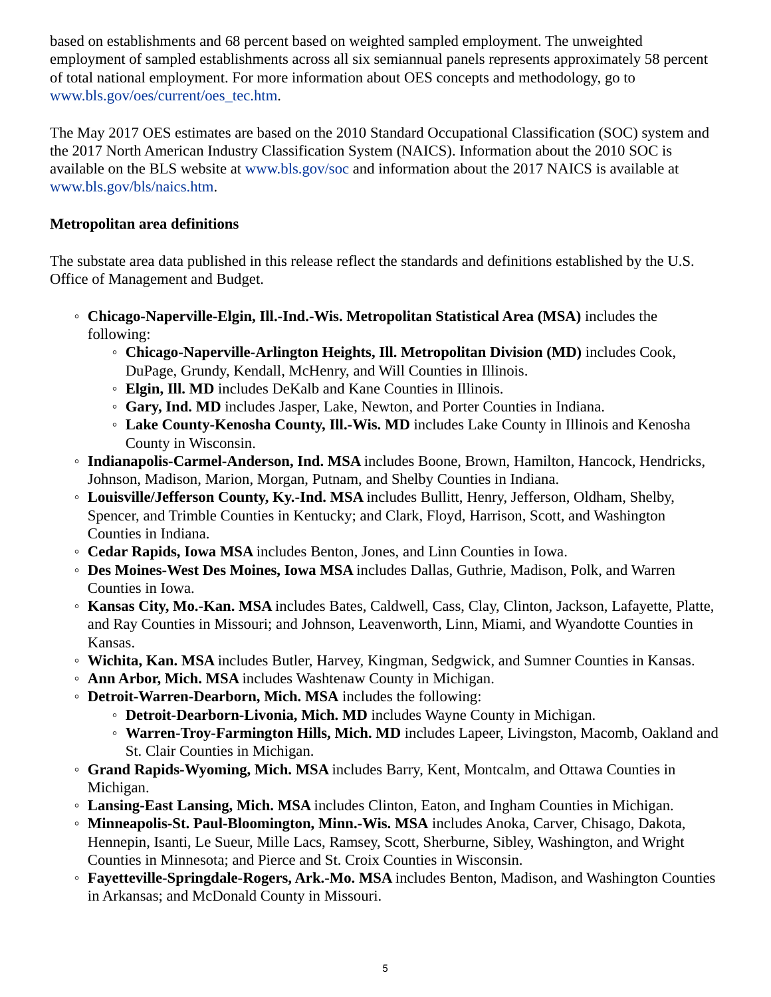based on establishments and 68 percent based on weighted sampled employment. The unweighted employment of sampled establishments across all six semiannual panels represents approximately 58 percent of total national employment. For more information about OES concepts and methodology, go to [www.bls.gov/oes/current/oes\\_tec.htm](https://www.bls.gov/oes/current/oes_tec.htm).

The May 2017 OES estimates are based on the 2010 Standard Occupational Classification (SOC) system and the 2017 North American Industry Classification System (NAICS). Information about the 2010 SOC is available on the BLS website at [www.bls.gov/soc](https://www.bls.gov/soc) and information about the 2017 NAICS is available at [www.bls.gov/bls/naics.htm.](https://www.bls.gov/bls/naics.htm)

### **Metropolitan area definitions**

The substate area data published in this release reflect the standards and definitions established by the U.S. Office of Management and Budget.

- **Chicago-Naperville-Elgin, Ill.-Ind.-Wis. Metropolitan Statistical Area (MSA)** includes the following:
	- **Chicago-Naperville-Arlington Heights, Ill. Metropolitan Division (MD)** includes Cook, DuPage, Grundy, Kendall, McHenry, and Will Counties in Illinois.
	- **Elgin, Ill. MD** includes DeKalb and Kane Counties in Illinois.
	- **Gary, Ind. MD** includes Jasper, Lake, Newton, and Porter Counties in Indiana.
	- **Lake County-Kenosha County, Ill.-Wis. MD** includes Lake County in Illinois and Kenosha County in Wisconsin.
- **Indianapolis-Carmel-Anderson, Ind. MSA** includes Boone, Brown, Hamilton, Hancock, Hendricks, Johnson, Madison, Marion, Morgan, Putnam, and Shelby Counties in Indiana.
- **Louisville/Jefferson County, Ky.-Ind. MSA** includes Bullitt, Henry, Jefferson, Oldham, Shelby, Spencer, and Trimble Counties in Kentucky; and Clark, Floyd, Harrison, Scott, and Washington Counties in Indiana.
- **Cedar Rapids, Iowa MSA** includes Benton, Jones, and Linn Counties in Iowa.
- **Des Moines-West Des Moines, Iowa MSA** includes Dallas, Guthrie, Madison, Polk, and Warren Counties in Iowa.
- **Kansas City, Mo.-Kan. MSA** includes Bates, Caldwell, Cass, Clay, Clinton, Jackson, Lafayette, Platte, and Ray Counties in Missouri; and Johnson, Leavenworth, Linn, Miami, and Wyandotte Counties in Kansas.
- **Wichita, Kan. MSA** includes Butler, Harvey, Kingman, Sedgwick, and Sumner Counties in Kansas.
- **Ann Arbor, Mich. MSA** includes Washtenaw County in Michigan.
- **Detroit-Warren-Dearborn, Mich. MSA** includes the following:
	- **Detroit-Dearborn-Livonia, Mich. MD** includes Wayne County in Michigan.
	- **Warren-Troy-Farmington Hills, Mich. MD** includes Lapeer, Livingston, Macomb, Oakland and St. Clair Counties in Michigan.
- **Grand Rapids-Wyoming, Mich. MSA** includes Barry, Kent, Montcalm, and Ottawa Counties in Michigan.
- **Lansing-East Lansing, Mich. MSA** includes Clinton, Eaton, and Ingham Counties in Michigan.
- **Minneapolis-St. Paul-Bloomington, Minn.-Wis. MSA** includes Anoka, Carver, Chisago, Dakota, Hennepin, Isanti, Le Sueur, Mille Lacs, Ramsey, Scott, Sherburne, Sibley, Washington, and Wright Counties in Minnesota; and Pierce and St. Croix Counties in Wisconsin.
- **Fayetteville-Springdale-Rogers, Ark.-Mo. MSA** includes Benton, Madison, and Washington Counties in Arkansas; and McDonald County in Missouri.